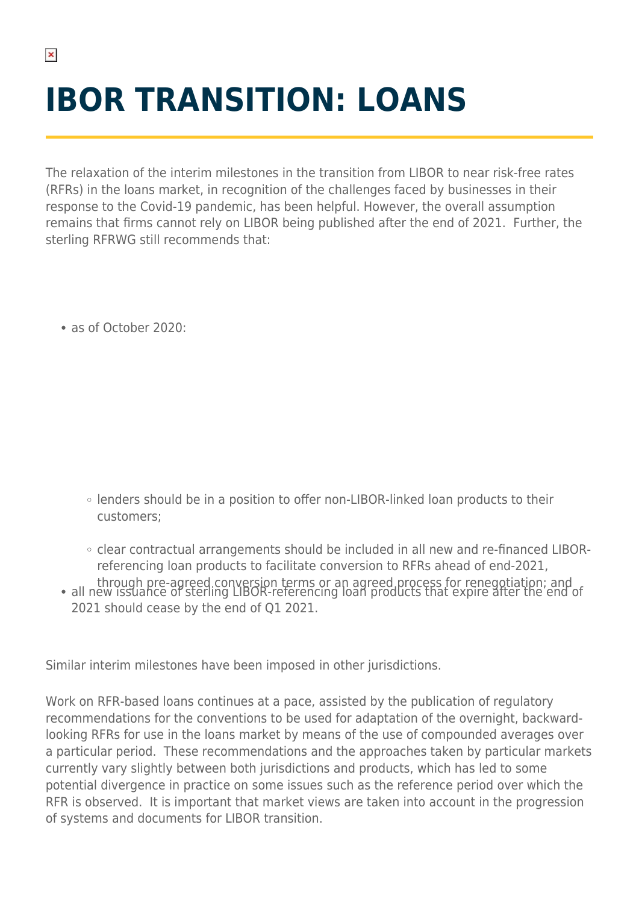## **IBOR TRANSITION: LOANS**

The relaxation of the interim milestones in the transition from LIBOR to near risk-free rates (RFRs) in the loans market, in recognition of the challenges faced by businesses in their response to the Covid-19 pandemic, has been helpful. However, the overall assumption remains that firms cannot rely on LIBOR being published after the end of 2021. Further, the sterling RFRWG still recommends that:

as of October 2020:

- lenders should be in a position to offer non-LIBOR-linked loan products to their customers;
- clear contractual arrangements should be included in all new and re-financed LIBORreferencing loan products to facilitate conversion to RFRs ahead of end-2021,
- through pre-agreed conversion terms or an agreed process for renegotiation; and<br>all new issuance of sterling LIBOR-referencing loan products that expire after the end of 2021 should cease by the end of Q1 2021.

Similar interim milestones have been imposed in other jurisdictions.

Work on RFR-based loans continues at a pace, assisted by the publication of regulatory recommendations for the conventions to be used for adaptation of the overnight, backwardlooking RFRs for use in the loans market by means of the use of compounded averages over a particular period. These recommendations and the approaches taken by particular markets currently vary slightly between both jurisdictions and products, which has led to some potential divergence in practice on some issues such as the reference period over which the RFR is observed. It is important that market views are taken into account in the progression of systems and documents for LIBOR transition.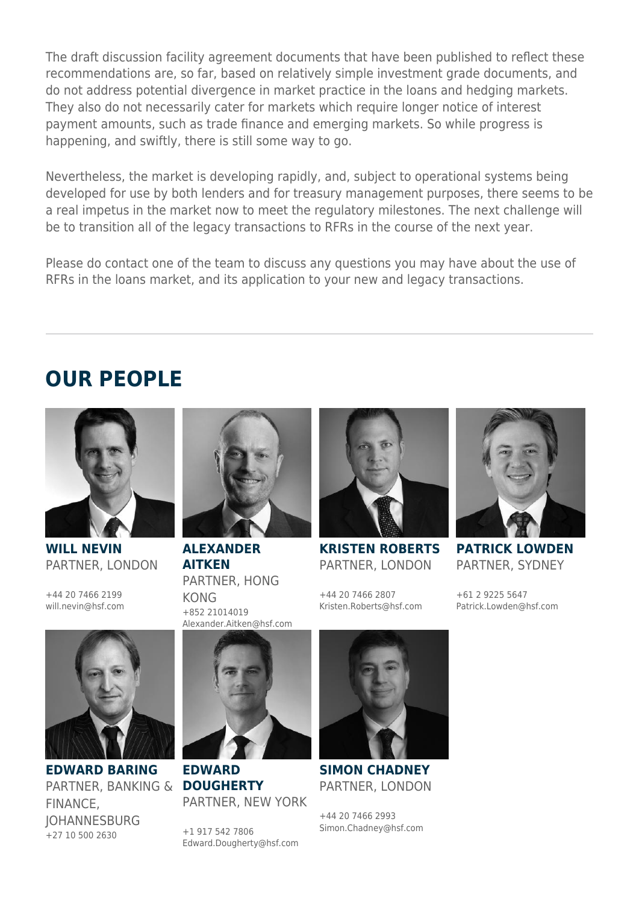The draft discussion facility agreement documents that have been published to reflect these recommendations are, so far, based on relatively simple investment grade documents, and do not address potential divergence in market practice in the loans and hedging markets. They also do not necessarily cater for markets which require longer notice of interest payment amounts, such as trade finance and emerging markets. So while progress is happening, and swiftly, there is still some way to go.

Nevertheless, the market is developing rapidly, and, subject to operational systems being developed for use by both lenders and for treasury management purposes, there seems to be a real impetus in the market now to meet the regulatory milestones. The next challenge will be to transition all of the legacy transactions to RFRs in the course of the next year.

Please do contact one of the team to discuss any questions you may have about the use of RFRs in the loans market, and its application to your new and legacy transactions.

## **OUR PEOPLE**



**WILL NEVIN** PARTNER, LONDON

+44 20 7466 2199 will.nevin@hsf.com



**EDWARD BARING** PARTNER, BANKING & **DOUGHERTY** FINANCE, **IOHANNESBURG** +27 10 500 2630



**ALEXANDER AITKEN** PARTNER, HONG KONG +852 21014019 Alexander.Aitken@hsf.com



**KRISTEN ROBERTS** PARTNER, LONDON

+44 20 7466 2807 Kristen.Roberts@hsf.com



**PATRICK LOWDEN** PARTNER, SYDNEY

+61 2 9225 5647 Patrick.Lowden@hsf.com



**EDWARD** PARTNER, NEW YORK

+1 917 542 7806 Edward.Dougherty@hsf.com



**SIMON CHADNEY** PARTNER, LONDON

+44 20 7466 2993 Simon.Chadney@hsf.com